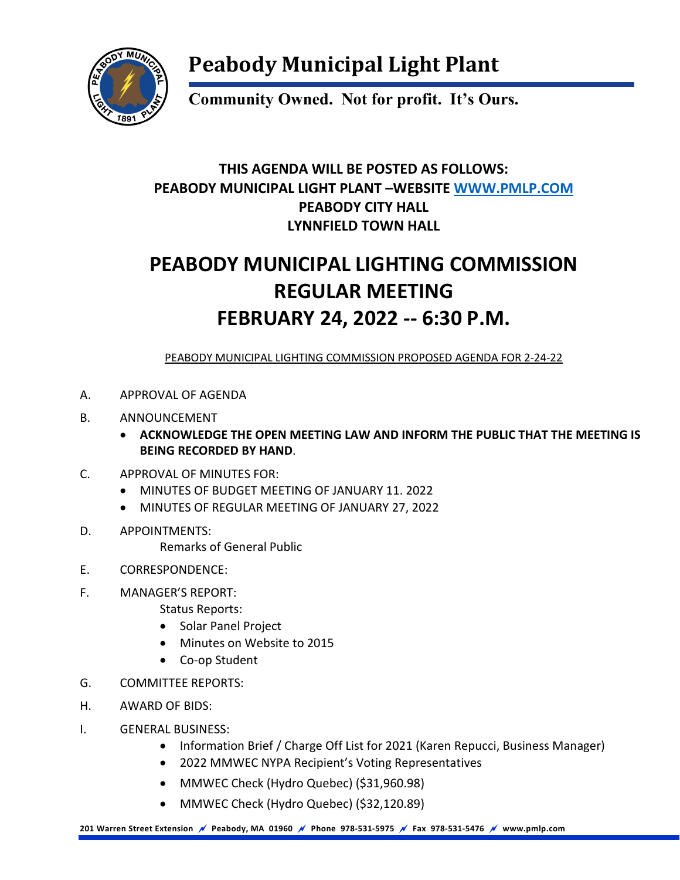

## **Peabody Municipal Light Plant**

**Community Owned. Not for profit. It's Ours.**

#### **THIS AGENDA WILL BE POSTED AS FOLLOWS: PEABODY MUNICIPAL LIGHT PLANT –WEBSITE [WWW.PMLP.COM](http://www.pmlp.com/) PEABODY CITY HALL LYNNFIELD TOWN HALL**

## **PEABODY MUNICIPAL LIGHTING COMMISSION REGULAR MEETING FEBRUARY 24, 2022 -- 6:30 P.M.**

PEABODY MUNICIPAL LIGHTING COMMISSION PROPOSED AGENDA FOR 2-24-22

- A. APPROVAL OF AGENDA
- B. ANNOUNCEMENT
	- **ACKNOWLEDGE THE OPEN MEETING LAW AND INFORM THE PUBLIC THAT THE MEETING IS BEING RECORDED BY HAND**.
- C. APPROVAL OF MINUTES FOR:
	- MINUTES OF BUDGET MEETING OF JANUARY 11. 2022
	- MINUTES OF REGULAR MEETING OF JANUARY 27, 2022
- D. APPOINTMENTS:
	- Remarks of General Public
- E. CORRESPONDENCE:
- F. MANAGER'S REPORT:
	- Status Reports:
	- Solar Panel Project
	- Minutes on Website to 2015
	- Co-op Student
- G. COMMITTEE REPORTS:
- H. AWARD OF BIDS:
- I. GENERAL BUSINESS:
	- Information Brief / Charge Off List for 2021 (Karen Repucci, Business Manager)
	- 2022 MMWEC NYPA Recipient's Voting Representatives
	- MMWEC Check (Hydro Quebec) (\$31,960.98)
	- MMWEC Check (Hydro Quebec) (\$32,120.89)

**201 Warren Street Extension Peabody, MA 01960 Phone 978-531-5975 Fax 978-531-5476 www.pmlp.com**